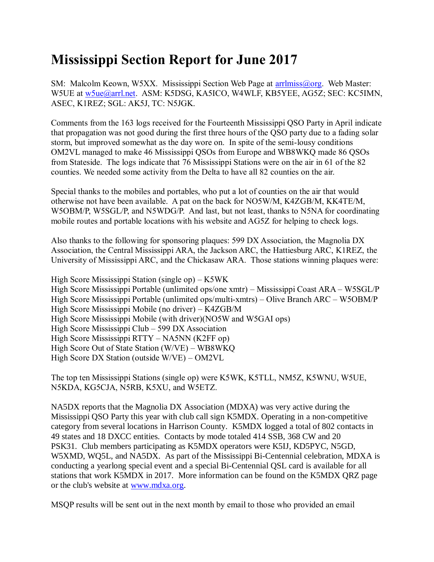## **Mississippi Section Report for June 2017**

SM: Malcolm Keown, W5XX. Mississippi Section Web Page at [arrlmiss@org.](mailto:arrlmiss@org) Web Master: W5UE at [w5ue@arrl.net.](mailto:w5ue@arrl.net) ASM: K5DSG, KA5ICO, W4WLF, KB5YEE, AG5Z; SEC: KC5IMN, ASEC, K1REZ; SGL: AK5J, TC: N5JGK.

Comments from the 163 logs received for the Fourteenth Mississippi QSO Party in April indicate that propagation was not good during the first three hours of the QSO party due to a fading solar storm, but improved somewhat as the day wore on. In spite of the semi-lousy conditions OM2VL managed to make 46 Mississippi QSOs from Europe and WB8WKQ made 86 QSOs from Stateside. The logs indicate that 76 Mississippi Stations were on the air in 61 of the 82 counties. We needed some activity from the Delta to have all 82 counties on the air.

Special thanks to the mobiles and portables, who put a lot of counties on the air that would otherwise not have been available. A pat on the back for NO5W/M, K4ZGB/M, KK4TE/M, W5OBM/P, W5SGL/P, and N5WDG/P. And last, but not least, thanks to N5NA for coordinating mobile routes and portable locations with his website and AG5Z for helping to check logs.

Also thanks to the following for sponsoring plaques: 599 DX Association, the Magnolia DX Association, the Central Mississippi ARA, the Jackson ARC, the Hattiesburg ARC, K1REZ, the University of Mississippi ARC, and the Chickasaw ARA. Those stations winning plaques were:

High Score Mississippi Station (single op) – K5WK High Score Mississippi Portable (unlimited ops/one xmtr) – Mississippi Coast ARA – W5SGL/P High Score Mississippi Portable (unlimited ops/multi-xmtrs) – Olive Branch ARC – W5OBM/P High Score Mississippi Mobile (no driver) – K4ZGB/M High Score Mississippi Mobile (with driver)(NO5W and W5GAI ops) High Score Mississippi Club – 599 DX Association High Score Mississippi RTTY – NA5NN (K2FF op) High Score Out of State Station (W/VE) – WB8WKQ High Score DX Station (outside W/VE) – OM2VL

The top ten Mississippi Stations (single op) were K5WK, K5TLL, NM5Z, K5WNU, W5UE, N5KDA, KG5CJA, N5RB, K5XU, and W5ETZ.

NA5DX reports that the Magnolia DX Association (MDXA) was very active during the Mississippi QSO Party this year with club call sign K5MDX. Operating in a non-competitive category from several locations in Harrison County. K5MDX logged a total of 802 contacts in 49 states and 18 DXCC entities. Contacts by mode totaled 414 SSB, 368 CW and 20 PSK31. Club members participating as K5MDX operators were K5IJ, KD5PYC, N5GD, W5XMD, WQ5L, and NA5DX. As part of the Mississippi Bi-Centennial celebration, MDXA is conducting a yearlong special event and a special Bi-Centennial QSL card is available for all stations that work K5MDX in 2017. More information can be found on the K5MDX QRZ page or the club's website at [www.mdxa.org.](http://www.mdxa.org/)

MSQP results will be sent out in the next month by email to those who provided an email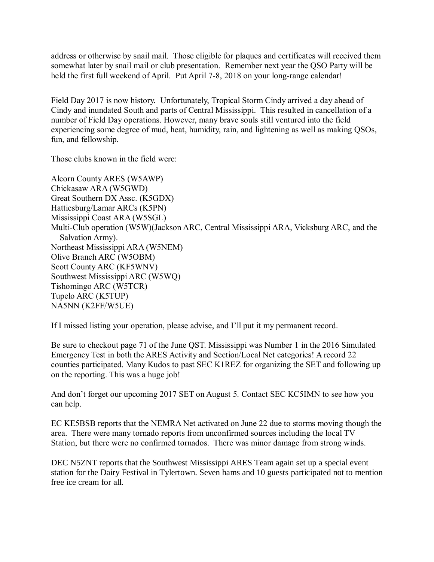address or otherwise by snail mail. Those eligible for plaques and certificates will received them somewhat later by snail mail or club presentation. Remember next year the QSO Party will be held the first full weekend of April. Put April 7-8, 2018 on your long-range calendar!

Field Day 2017 is now history. Unfortunately, Tropical Storm Cindy arrived a day ahead of Cindy and inundated South and parts of Central Mississippi. This resulted in cancellation of a number of Field Day operations. However, many brave souls still ventured into the field experiencing some degree of mud, heat, humidity, rain, and lightening as well as making QSOs, fun, and fellowship.

Those clubs known in the field were:

Alcorn County ARES (W5AWP) Chickasaw ARA (W5GWD) Great Southern DX Assc. (K5GDX) Hattiesburg/Lamar ARCs (K5PN) Mississippi Coast ARA (W5SGL) Multi-Club operation (W5W)(Jackson ARC, Central Mississippi ARA, Vicksburg ARC, and the Salvation Army). Northeast Mississippi ARA (W5NEM) Olive Branch ARC (W5OBM) Scott County ARC (KF5WNV) Southwest Mississippi ARC (W5WQ) Tishomingo ARC (W5TCR) Tupelo ARC (K5TUP) NA5NN (K2FF/W5UE)

If I missed listing your operation, please advise, and I'll put it my permanent record.

Be sure to checkout page 71 of the June QST. Mississippi was Number 1 in the 2016 Simulated Emergency Test in both the ARES Activity and Section/Local Net categories! A record 22 counties participated. Many Kudos to past SEC K1REZ for organizing the SET and following up on the reporting. This was a huge job!

And don't forget our upcoming 2017 SET on August 5. Contact SEC KC5IMN to see how you can help.

EC KE5BSB reports that the NEMRA Net activated on June 22 due to storms moving though the area. There were many tornado reports from unconfirmed sources including the local TV Station, but there were no confirmed tornados. There was minor damage from strong winds.

DEC N5ZNT reports that the Southwest Mississippi ARES Team again set up a special event station for the Dairy Festival in Tylertown. Seven hams and 10 guests participated not to mention free ice cream for all.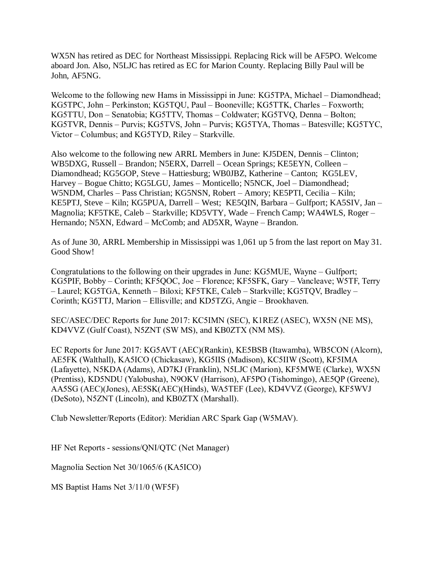WX5N has retired as DEC for Northeast Mississippi. Replacing Rick will be AF5PO. Welcome aboard Jon. Also, N5LJC has retired as EC for Marion County. Replacing Billy Paul will be John, AF5NG.

Welcome to the following new Hams in Mississippi in June: KG5TPA, Michael – Diamondhead; KG5TPC, John – Perkinston; KG5TQU, Paul – Booneville; KG5TTK, Charles – Foxworth; KG5TTU, Don – Senatobia; KG5TTV, Thomas – Coldwater; KG5TVQ, Denna – Bolton; KG5TVR, Dennis – Purvis; KG5TVS, John – Purvis; KG5TYA, Thomas – Batesville; KG5TYC, Victor – Columbus; and KG5TYD, Riley – Starkville.

Also welcome to the following new ARRL Members in June: KJ5DEN, Dennis – Clinton; WB5DXG, Russell – Brandon; N5ERX, Darrell – Ocean Springs; KE5EYN, Colleen – Diamondhead; KG5GOP, Steve – Hattiesburg; WB0JBZ, Katherine – Canton; KG5LEV, Harvey – Bogue Chitto; KG5LGU, James – Monticello; N5NCK, Joel – Diamondhead; W5NDM, Charles – Pass Christian; KG5NSN, Robert – Amory; KE5PTI, Cecilia – Kiln; KE5PTJ, Steve – Kiln; KG5PUA, Darrell – West; KE5QIN, Barbara – Gulfport; KA5SIV, Jan – Magnolia; KF5TKE, Caleb – Starkville; KD5VTY, Wade – French Camp; WA4WLS, Roger – Hernando; N5XN, Edward – McComb; and AD5XR, Wayne – Brandon.

As of June 30, ARRL Membership in Mississippi was 1,061 up 5 from the last report on May 31. Good Show!

Congratulations to the following on their upgrades in June: KG5MUE, Wayne – Gulfport; KG5PIF, Bobby – Corinth; KF5QOC, Joe – Florence; KF5SFK, Gary – Vancleave; W5TF, Terry – Laurel; KG5TGA, Kenneth – Biloxi; KF5TKE, Caleb – Starkville; KG5TQV, Bradley – Corinth; KG5TTJ, Marion – Ellisville; and KD5TZG, Angie – Brookhaven.

SEC/ASEC/DEC Reports for June 2017: KC5IMN (SEC), K1REZ (ASEC), WX5N (NE MS), KD4VVZ (Gulf Coast), N5ZNT (SW MS), and KB0ZTX (NM MS).

EC Reports for June 2017: KG5AVT (AEC)(Rankin), KE5BSB (Itawamba), WB5CON (Alcorn), AE5FK (Walthall), KA5ICO (Chickasaw), KG5IIS (Madison), KC5IIW (Scott), KF5IMA (Lafayette), N5KDA (Adams), AD7KJ (Franklin), N5LJC (Marion), KF5MWE (Clarke), WX5N (Prentiss), KD5NDU (Yalobusha), N9OKV (Harrison), AF5PO (Tishomingo), AE5QP (Greene), AA5SG (AEC)(Jones), AE5SK(AEC)(Hinds), WA5TEF (Lee), KD4VVZ (George), KF5WVJ (DeSoto), N5ZNT (Lincoln), and KB0ZTX (Marshall).

Club Newsletter/Reports (Editor): Meridian ARC Spark Gap (W5MAV).

HF Net Reports - sessions/QNI/QTC (Net Manager)

Magnolia Section Net 30/1065/6 (KA5ICO)

MS Baptist Hams Net 3/11/0 (WF5F)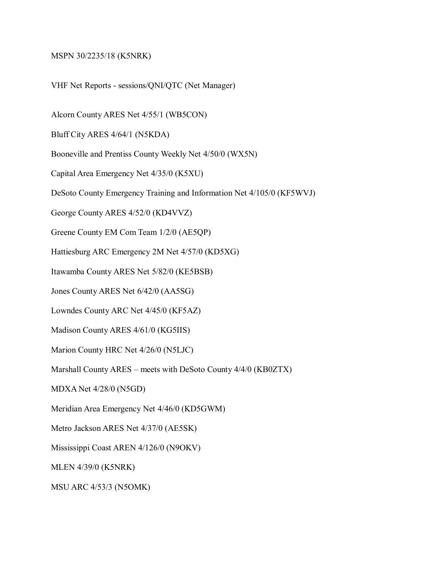## MSPN 30/2235/18 (K5NRK)

VHF Net Reports - sessions/QNI/QTC (Net Manager)

Alcorn County ARES Net 4/55/1 (WB5CON)

Bluff City ARES 4/64/1 (N5KDA)

Booneville and Prentiss County Weekly Net 4/50/0 (WX5N)

Capital Area Emergency Net 4/35/0 (K5XU)

DeSoto County Emergency Training and Information Net 4/105/0 (KF5WVJ)

George County ARES 4/52/0 (KD4VVZ)

Greene County EM Com Team 1/2/0 (AE5QP)

Hattiesburg ARC Emergency 2M Net 4/57/0 (KD5XG)

Itawamba County ARES Net 5/82/0 (KE5BSB)

Jones County ARES Net 6/42/0 (AA5SG)

Lowndes County ARC Net 4/45/0 (KF5AZ)

Madison County ARES 4/61/0 (KG5IIS)

Marion County HRC Net 4/26/0 (N5LJC)

Marshall County ARES – meets with DeSoto County 4/4/0 (KB0ZTX)

MDXA Net 4/28/0 (N5GD)

Meridian Area Emergency Net 4/46/0 (KD5GWM)

Metro Jackson ARES Net 4/37/0 (AE5SK)

Mississippi Coast AREN 4/126/0 (N9OKV)

MLEN 4/39/0 (K5NRK)

MSU ARC 4/53/3 (N5OMK)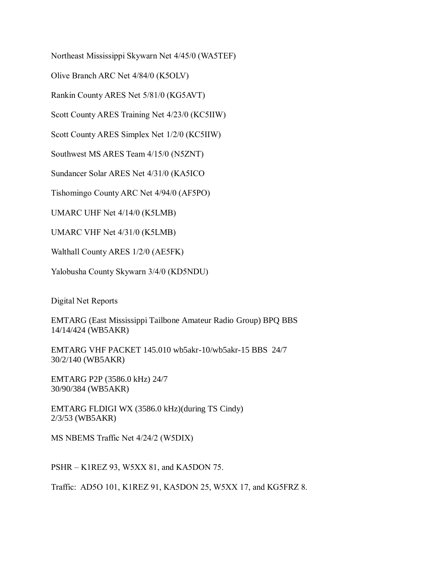Northeast Mississippi Skywarn Net 4/45/0 (WA5TEF)

Olive Branch ARC Net 4/84/0 (K5OLV)

Rankin County ARES Net 5/81/0 (KG5AVT)

Scott County ARES Training Net 4/23/0 (KC5IIW)

Scott County ARES Simplex Net 1/2/0 (KC5IIW)

Southwest MS ARES Team 4/15/0 (N5ZNT)

Sundancer Solar ARES Net 4/31/0 (KA5ICO

Tishomingo County ARC Net 4/94/0 (AF5PO)

UMARC UHF Net 4/14/0 (K5LMB)

UMARC VHF Net 4/31/0 (K5LMB)

Walthall County ARES 1/2/0 (AE5FK)

Yalobusha County Skywarn 3/4/0 (KD5NDU)

Digital Net Reports

EMTARG (East Mississippi Tailbone Amateur Radio Group) BPQ BBS 14/14/424 (WB5AKR)

EMTARG VHF PACKET 145.010 wb5akr-10/wb5akr-15 BBS 24/7 30/2/140 (WB5AKR)

EMTARG P2P (3586.0 kHz) 24/7 30/90/384 (WB5AKR)

EMTARG FLDIGI WX (3586.0 kHz)(during TS Cindy) 2/3/53 (WB5AKR)

MS NBEMS Traffic Net 4/24/2 (W5DIX)

PSHR – K1REZ 93, W5XX 81, and KA5DON 75.

Traffic: AD5O 101, K1REZ 91, KA5DON 25, W5XX 17, and KG5FRZ 8.